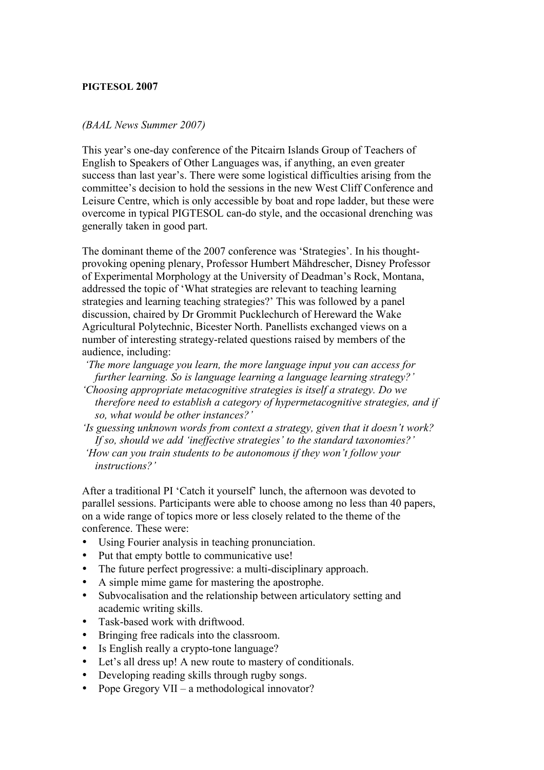## **PIGTESOL 2007**

## *(BAAL News Summer 2007)*

This year's one-day conference of the Pitcairn Islands Group of Teachers of English to Speakers of Other Languages was, if anything, an even greater success than last year's. There were some logistical difficulties arising from the committee's decision to hold the sessions in the new West Cliff Conference and Leisure Centre, which is only accessible by boat and rope ladder, but these were overcome in typical PIGTESOL can-do style, and the occasional drenching was generally taken in good part.

The dominant theme of the 2007 conference was 'Strategies'. In his thoughtprovoking opening plenary, Professor Humbert Mähdrescher, Disney Professor of Experimental Morphology at the University of Deadman's Rock, Montana, addressed the topic of 'What strategies are relevant to teaching learning strategies and learning teaching strategies?' This was followed by a panel discussion, chaired by Dr Grommit Pucklechurch of Hereward the Wake Agricultural Polytechnic, Bicester North. Panellists exchanged views on a number of interesting strategy-related questions raised by members of the audience, including:

*'The more language you learn, the more language input you can access for further learning. So is language learning a language learning strategy?'*

*'Choosing appropriate metacognitive strategies is itself a strategy. Do we therefore need to establish a category of hypermetacognitive strategies, and if so, what would be other instances?'*

*'Is guessing unknown words from context a strategy, given that it doesn't work? If so, should we add 'ineffective strategies' to the standard taxonomies?'* 

*'How can you train students to be autonomous if they won't follow your instructions?'*

After a traditional PI 'Catch it yourself' lunch, the afternoon was devoted to parallel sessions. Participants were able to choose among no less than 40 papers, on a wide range of topics more or less closely related to the theme of the conference. These were:

- Using Fourier analysis in teaching pronunciation.
- Put that empty bottle to communicative use!
- The future perfect progressive: a multi-disciplinary approach.
- A simple mime game for mastering the apostrophe.
- Subvocalisation and the relationship between articulatory setting and academic writing skills.
- Task-based work with driftwood.
- Bringing free radicals into the classroom.
- Is English really a crypto-tone language?
- Let's all dress up! A new route to mastery of conditionals.
- Developing reading skills through rugby songs.
- Pope Gregory VII a methodological innovator?